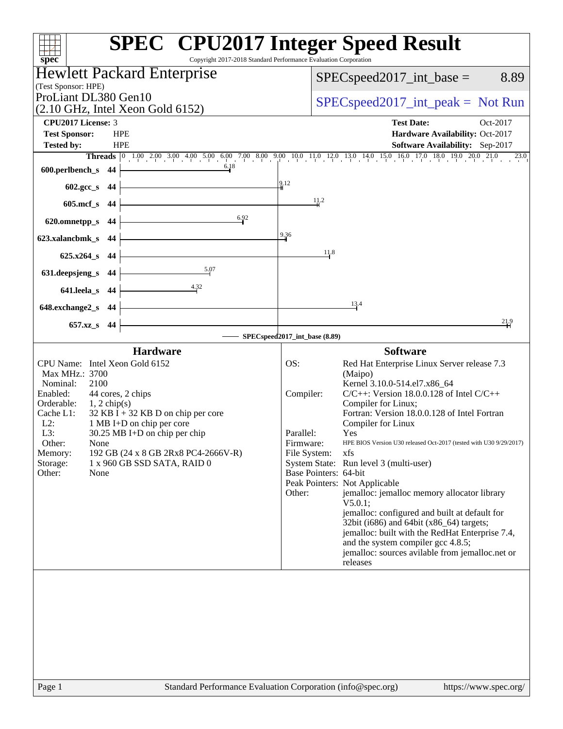| spec <sup>®</sup>                                                                                 | <b>SPEC<sup>®</sup> CPU2017 Integer Speed Result</b><br>Copyright 2017-2018 Standard Performance Evaluation Corporation    |
|---------------------------------------------------------------------------------------------------|----------------------------------------------------------------------------------------------------------------------------|
| <b>Hewlett Packard Enterprise</b>                                                                 | $SPEC speed2017\_int\_base =$<br>8.89                                                                                      |
| (Test Sponsor: HPE)<br>ProLiant DL380 Gen10<br>$(2.10 \text{ GHz}, \text{Intel Xeon Gold } 6152)$ | $SPEC speed2017\_int\_peak = Not Run$                                                                                      |
| <b>CPU2017 License: 3</b>                                                                         | <b>Test Date:</b><br>Oct-2017                                                                                              |
| <b>Test Sponsor:</b><br><b>HPE</b>                                                                | Hardware Availability: Oct-2017                                                                                            |
| <b>Tested by:</b><br><b>HPE</b>                                                                   | Software Availability: Sep-2017                                                                                            |
| 6.18                                                                                              | Threads 0 1.00 2.00 3.00 4.00 5.00 6.00 7.00 8.00 9.00 10.0 11.0 12.0 13.0 14.0 15.0 16.0 17.0 18.0 19.0 20.0 21.0<br>23.0 |
| 600.perlbench_s<br>-44                                                                            |                                                                                                                            |
| 602.gcc_s 44                                                                                      | 9.12                                                                                                                       |
| $605$ .mcf_s<br>- 44                                                                              | 11.2                                                                                                                       |
| 6.92<br>620.omnetpp_s<br>44                                                                       |                                                                                                                            |
| 623.xalancbmk_s 44                                                                                | 9.36                                                                                                                       |
|                                                                                                   | 11.8                                                                                                                       |
| $625.x264_s$ 44                                                                                   |                                                                                                                            |
| 5.07<br>631.deepsjeng_s<br>44                                                                     |                                                                                                                            |
| 4.32<br>641.leela_s 44                                                                            |                                                                                                                            |
| 648.exchange2_s<br>- 44                                                                           | 13.4                                                                                                                       |
| 657.xz_s 44                                                                                       | 21.9                                                                                                                       |
|                                                                                                   | SPECspeed2017_int_base (8.89)                                                                                              |
| <b>Hardware</b>                                                                                   | <b>Software</b>                                                                                                            |
| CPU Name: Intel Xeon Gold 6152                                                                    | OS:<br>Red Hat Enterprise Linux Server release 7.3                                                                         |
| Max MHz.: 3700                                                                                    | (Maipo)                                                                                                                    |
| Nominal:<br>2100<br>Enabled:<br>44 cores, 2 chips                                                 | Kernel 3.10.0-514.el7.x86_64<br>$C/C++$ : Version 18.0.0.128 of Intel $C/C++$<br>Compiler:                                 |
| Orderable:<br>$1, 2$ chip(s)                                                                      | Compiler for Linux;                                                                                                        |
| Cache L1:<br>$32$ KB I + 32 KB D on chip per core<br>$L2$ :<br>1 MB I+D on chip per core          | Fortran: Version 18.0.0.128 of Intel Fortran<br>Compiler for Linux                                                         |
| L3:<br>$30.25$ MB I+D on chip per chip                                                            | Parallel:<br>Yes                                                                                                           |
| Other:<br>None                                                                                    | Firmware:<br>HPE BIOS Version U30 released Oct-2017 (tested with U30 9/29/2017)                                            |
|                                                                                                   | File System:<br>xfs                                                                                                        |
| 192 GB (24 x 8 GB 2Rx8 PC4-2666V-R)<br>Memory:                                                    |                                                                                                                            |
| 1 x 960 GB SSD SATA, RAID 0<br>Storage:<br>Other:<br>None                                         | System State: Run level 3 (multi-user)<br>Base Pointers: 64-bit                                                            |
|                                                                                                   | Peak Pointers: Not Applicable                                                                                              |
|                                                                                                   | jemalloc: jemalloc memory allocator library<br>Other:                                                                      |
|                                                                                                   | V5.0.1;<br>jemalloc: configured and built at default for                                                                   |
|                                                                                                   | 32bit (i686) and 64bit (x86_64) targets;                                                                                   |
|                                                                                                   | jemalloc: built with the RedHat Enterprise 7.4,<br>and the system compiler gcc 4.8.5;                                      |
|                                                                                                   | jemalloc: sources avilable from jemalloc.net or                                                                            |
|                                                                                                   | releases                                                                                                                   |
|                                                                                                   |                                                                                                                            |
|                                                                                                   |                                                                                                                            |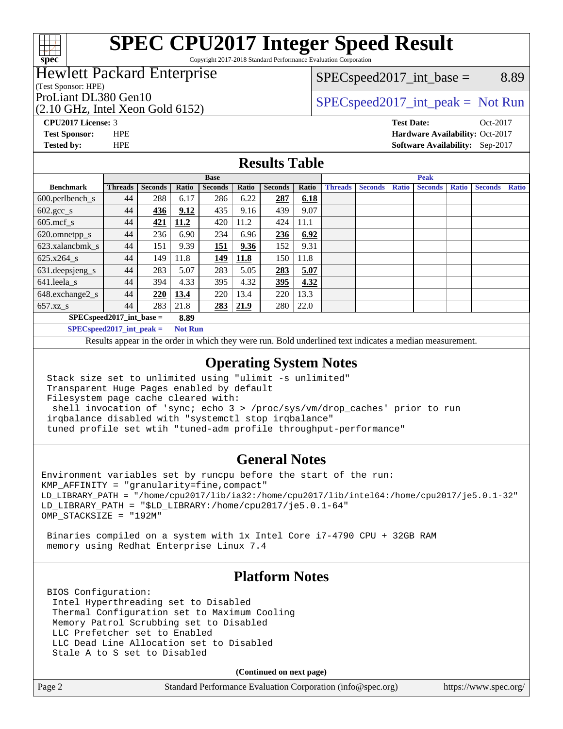

# **[SPEC CPU2017 Integer Speed Result](http://www.spec.org/auto/cpu2017/Docs/result-fields.html#SPECCPU2017IntegerSpeedResult)**

Copyright 2017-2018 Standard Performance Evaluation Corporation

### Hewlett Packard Enterprise

(Test Sponsor: HPE)

(2.10 GHz, Intel Xeon Gold 6152)

 $SPEC speed2017\_int\_base =$  8.89

### ProLiant DL380 Gen10  $SPEC speed2017\_int\_peak = Not Run$

**[Tested by:](http://www.spec.org/auto/cpu2017/Docs/result-fields.html#Testedby)** HPE **[Software Availability:](http://www.spec.org/auto/cpu2017/Docs/result-fields.html#SoftwareAvailability)** Sep-2017

**[CPU2017 License:](http://www.spec.org/auto/cpu2017/Docs/result-fields.html#CPU2017License)** 3 **[Test Date:](http://www.spec.org/auto/cpu2017/Docs/result-fields.html#TestDate)** Oct-2017 **[Test Sponsor:](http://www.spec.org/auto/cpu2017/Docs/result-fields.html#TestSponsor)** HPE **[Hardware Availability:](http://www.spec.org/auto/cpu2017/Docs/result-fields.html#HardwareAvailability)** Oct-2017

### **[Results Table](http://www.spec.org/auto/cpu2017/Docs/result-fields.html#ResultsTable)**

|                               | <b>Base</b>    |                |       |                | <b>Peak</b> |                |       |                |                |              |                |              |                |              |
|-------------------------------|----------------|----------------|-------|----------------|-------------|----------------|-------|----------------|----------------|--------------|----------------|--------------|----------------|--------------|
| <b>Benchmark</b>              | <b>Threads</b> | <b>Seconds</b> | Ratio | <b>Seconds</b> | Ratio       | <b>Seconds</b> | Ratio | <b>Threads</b> | <b>Seconds</b> | <b>Ratio</b> | <b>Seconds</b> | <b>Ratio</b> | <b>Seconds</b> | <b>Ratio</b> |
| $600.$ perlbench $\mathsf{S}$ | 44             | 288            | 6.17  | 286            | 6.22        | 287            | 6.18  |                |                |              |                |              |                |              |
| $602.\text{gcc}\_\text{s}$    | 44             | 436            | 9.12  | 435            | 9.16        | 439            | 9.07  |                |                |              |                |              |                |              |
| $605$ .mcf_s                  | 44             | 421            | 11.2  | 420            | 11.2        | 424            | 11.1  |                |                |              |                |              |                |              |
| 620.omnetpp_s                 | 44             | 236            | 6.90  | 234            | 6.96        | 236            | 6.92  |                |                |              |                |              |                |              |
| 623.xalancbmk s               | 44             | 151            | 9.39  | 151            | 9.36        | 152            | 9.31  |                |                |              |                |              |                |              |
| 625.x264 s                    | 44             | 149            | 11.8  | <u> 149</u>    | 11.8        | 150            | 11.8  |                |                |              |                |              |                |              |
| 631.deepsjeng_s               | 44             | 283            | 5.07  | 283            | 5.05        | 283            | 5.07  |                |                |              |                |              |                |              |
| 641.leela s                   | 44             | 394            | 4.33  | 395            | 4.32        | 395            | 4.32  |                |                |              |                |              |                |              |
| 648.exchange2_s               | 44             | 220            | 13.4  | 220            | 13.4        | 220            | 13.3  |                |                |              |                |              |                |              |
| $657.xz$ s                    | 44             | 283            | 21.8  | 283            | 21.9        | 280            | 22.0  |                |                |              |                |              |                |              |
| $SPEC speed2017$ int base =   |                |                | 8.89  |                |             |                |       |                |                |              |                |              |                |              |

**[SPECspeed2017\\_int\\_peak =](http://www.spec.org/auto/cpu2017/Docs/result-fields.html#SPECspeed2017intpeak) Not Run**

Results appear in the [order in which they were run.](http://www.spec.org/auto/cpu2017/Docs/result-fields.html#RunOrder) Bold underlined text [indicates a median measurement.](http://www.spec.org/auto/cpu2017/Docs/result-fields.html#Median)

### **[Operating System Notes](http://www.spec.org/auto/cpu2017/Docs/result-fields.html#OperatingSystemNotes)**

 Stack size set to unlimited using "ulimit -s unlimited" Transparent Huge Pages enabled by default Filesystem page cache cleared with: shell invocation of 'sync; echo 3 > /proc/sys/vm/drop\_caches' prior to run irqbalance disabled with "systemctl stop irqbalance"

tuned profile set wtih "tuned-adm profile throughput-performance"

### **[General Notes](http://www.spec.org/auto/cpu2017/Docs/result-fields.html#GeneralNotes)**

Environment variables set by runcpu before the start of the run: KMP\_AFFINITY = "granularity=fine,compact" LD\_LIBRARY\_PATH = "/home/cpu2017/lib/ia32:/home/cpu2017/lib/intel64:/home/cpu2017/je5.0.1-32" LD\_LIBRARY\_PATH = "\$LD\_LIBRARY:/home/cpu2017/je5.0.1-64" OMP\_STACKSIZE = "192M"

 Binaries compiled on a system with 1x Intel Core i7-4790 CPU + 32GB RAM memory using Redhat Enterprise Linux 7.4

### **[Platform Notes](http://www.spec.org/auto/cpu2017/Docs/result-fields.html#PlatformNotes)**

 BIOS Configuration: Intel Hyperthreading set to Disabled Thermal Configuration set to Maximum Cooling Memory Patrol Scrubbing set to Disabled LLC Prefetcher set to Enabled LLC Dead Line Allocation set to Disabled Stale A to S set to Disabled

**(Continued on next page)**

| Page 2<br>Standard Performance Evaluation Corporation (info@spec.org) | https://www.spec.org/ |
|-----------------------------------------------------------------------|-----------------------|
|-----------------------------------------------------------------------|-----------------------|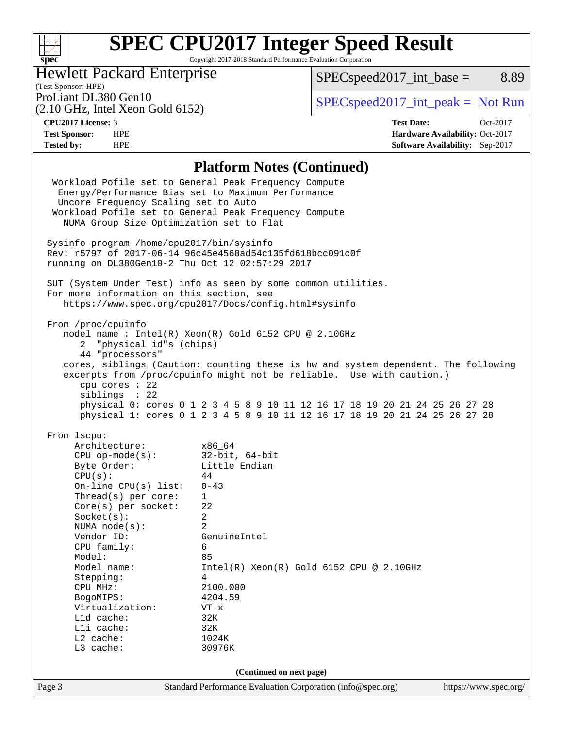### $\begin{matrix} \begin{matrix} \text{+} \text{+} \text{+} \text{+} \end{matrix} \end{matrix}$ **[spec](http://www.spec.org/)**

# **[SPEC CPU2017 Integer Speed Result](http://www.spec.org/auto/cpu2017/Docs/result-fields.html#SPECCPU2017IntegerSpeedResult)**

Copyright 2017-2018 Standard Performance Evaluation Corporation

### Hewlett Packard Enterprise

 $SPECspeed2017\_int\_base =$  8.89

# (Test Sponsor: HPE)<br>ProLiant DL380 Gen10

(2.10 GHz, Intel Xeon Gold 6152)

 $SPECspeed2017\_int\_peak = Not Run$ 

**[Tested by:](http://www.spec.org/auto/cpu2017/Docs/result-fields.html#Testedby)** HPE **[Software Availability:](http://www.spec.org/auto/cpu2017/Docs/result-fields.html#SoftwareAvailability)** Sep-2017

**[CPU2017 License:](http://www.spec.org/auto/cpu2017/Docs/result-fields.html#CPU2017License)** 3 **[Test Date:](http://www.spec.org/auto/cpu2017/Docs/result-fields.html#TestDate)** Oct-2017 **[Test Sponsor:](http://www.spec.org/auto/cpu2017/Docs/result-fields.html#TestSponsor)** HPE **[Hardware Availability:](http://www.spec.org/auto/cpu2017/Docs/result-fields.html#HardwareAvailability)** Oct-2017

### **[Platform Notes \(Continued\)](http://www.spec.org/auto/cpu2017/Docs/result-fields.html#PlatformNotes)**

|                                                                                                                                                                                                                                                                                                                                                                        | 1 iailyi III 1 vyics (Continueu)                                                                                                                                                                                                                                                                                                                                                   |                       |
|------------------------------------------------------------------------------------------------------------------------------------------------------------------------------------------------------------------------------------------------------------------------------------------------------------------------------------------------------------------------|------------------------------------------------------------------------------------------------------------------------------------------------------------------------------------------------------------------------------------------------------------------------------------------------------------------------------------------------------------------------------------|-----------------------|
| Uncore Frequency Scaling set to Auto<br>NUMA Group Size Optimization set to Flat                                                                                                                                                                                                                                                                                       | Workload Pofile set to General Peak Frequency Compute<br>Energy/Performance Bias set to Maximum Performance<br>Workload Pofile set to General Peak Frequency Compute                                                                                                                                                                                                               |                       |
| Sysinfo program /home/cpu2017/bin/sysinfo<br>running on DL380Gen10-2 Thu Oct 12 02:57:29 2017                                                                                                                                                                                                                                                                          | Rev: r5797 of 2017-06-14 96c45e4568ad54c135fd618bcc091c0f                                                                                                                                                                                                                                                                                                                          |                       |
| For more information on this section, see                                                                                                                                                                                                                                                                                                                              | SUT (System Under Test) info as seen by some common utilities.<br>https://www.spec.org/cpu2017/Docs/config.html#sysinfo                                                                                                                                                                                                                                                            |                       |
| From /proc/cpuinfo<br>2 "physical id"s (chips)<br>44 "processors"<br>cpu cores : 22<br>siblings : 22                                                                                                                                                                                                                                                                   | model name : Intel(R) Xeon(R) Gold 6152 CPU @ 2.10GHz<br>cores, siblings (Caution: counting these is hw and system dependent. The following<br>excerpts from /proc/cpuinfo might not be reliable. Use with caution.)<br>physical 0: cores 0 1 2 3 4 5 8 9 10 11 12 16 17 18 19 20 21 24 25 26 27 28<br>physical 1: cores 0 1 2 3 4 5 8 9 10 11 12 16 17 18 19 20 21 24 25 26 27 28 |                       |
| From 1scpu:<br>Architecture:<br>CPU op-mode(s):<br>Byte Order:<br>Byte Order:<br>CPU(s):<br>On-line CPU(s) list:<br>Thread( $s$ ) per core:<br>Core(s) per socket:<br>Socket(s):<br>NUMA node(s):<br>Vendor ID:<br>CPU family:<br>Model:<br>Model name:<br>Stepping:<br>CPU MHz:<br>BogoMIPS:<br>Virtualization:<br>Lld cache:<br>Lli cache:<br>L2 cache:<br>L3 cache: | x86_64<br>32-bit, 64-bit<br>Little Endian<br>44<br>$0 - 43$<br>$\mathbf{1}$<br>22<br>$\overline{a}$<br>$\mathfrak{D}$<br>GenuineIntel<br>6<br>85<br>$Intel(R)$ Xeon $(R)$ Gold 6152 CPU @ 2.10GHz<br>$\overline{4}$<br>2100.000<br>4204.59<br>$VT - x$<br>32K<br>32K<br>1024K<br>30976K                                                                                            |                       |
| Page 3                                                                                                                                                                                                                                                                                                                                                                 | (Continued on next page)<br>Standard Performance Evaluation Corporation (info@spec.org)                                                                                                                                                                                                                                                                                            | https://www.spec.org/ |
|                                                                                                                                                                                                                                                                                                                                                                        |                                                                                                                                                                                                                                                                                                                                                                                    |                       |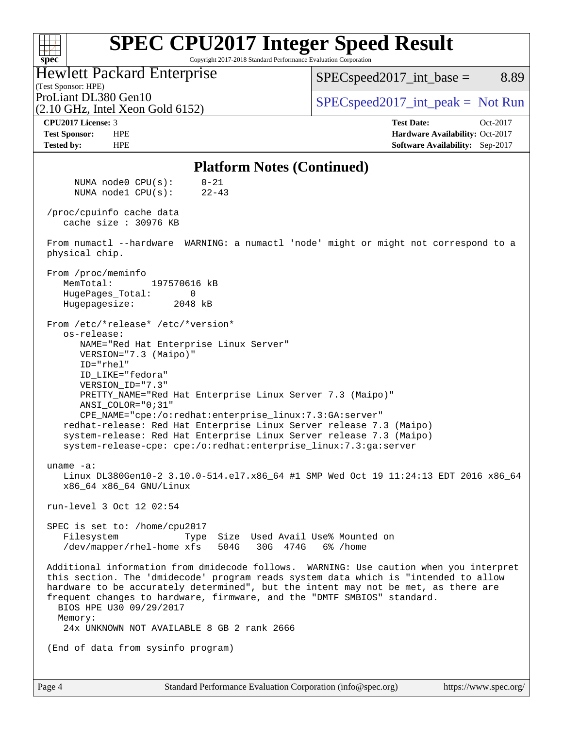#### **[SPEC CPU2017 Integer Speed Result](http://www.spec.org/auto/cpu2017/Docs/result-fields.html#SPECCPU2017IntegerSpeedResult)**  $+\!\!+\!\!$ **[spec](http://www.spec.org/)** Copyright 2017-2018 Standard Performance Evaluation Corporation Hewlett Packard Enterprise  $SPEC speed2017\_int\_base =$  8.89 (Test Sponsor: HPE) ProLiant DL380 Gen10  $SPEC speed2017\_int\_peak = Not Run$ (2.10 GHz, Intel Xeon Gold 6152) **[CPU2017 License:](http://www.spec.org/auto/cpu2017/Docs/result-fields.html#CPU2017License)** 3 **[Test Date:](http://www.spec.org/auto/cpu2017/Docs/result-fields.html#TestDate)** Oct-2017 **[Test Sponsor:](http://www.spec.org/auto/cpu2017/Docs/result-fields.html#TestSponsor)** HPE **[Hardware Availability:](http://www.spec.org/auto/cpu2017/Docs/result-fields.html#HardwareAvailability)** Oct-2017 **[Tested by:](http://www.spec.org/auto/cpu2017/Docs/result-fields.html#Testedby)** HPE **[Software Availability:](http://www.spec.org/auto/cpu2017/Docs/result-fields.html#SoftwareAvailability)** Sep-2017 **[Platform Notes \(Continued\)](http://www.spec.org/auto/cpu2017/Docs/result-fields.html#PlatformNotes)** NUMA node0 CPU(s): 0-21 NUMA node1 CPU(s): 22-43 /proc/cpuinfo cache data cache size : 30976 KB From numactl --hardware WARNING: a numactl 'node' might or might not correspond to a physical chip. From /proc/meminfo MemTotal: 197570616 kB HugePages Total: 0 Hugepagesize: 2048 kB From /etc/\*release\* /etc/\*version\* os-release: NAME="Red Hat Enterprise Linux Server" VERSION="7.3 (Maipo)" ID="rhel" ID\_LIKE="fedora" VERSION\_ID="7.3" PRETTY\_NAME="Red Hat Enterprise Linux Server 7.3 (Maipo)" ANSI\_COLOR="0;31" CPE\_NAME="cpe:/o:redhat:enterprise\_linux:7.3:GA:server" redhat-release: Red Hat Enterprise Linux Server release 7.3 (Maipo) system-release: Red Hat Enterprise Linux Server release 7.3 (Maipo) system-release-cpe: cpe:/o:redhat:enterprise\_linux:7.3:ga:server uname -a: Linux DL380Gen10-2 3.10.0-514.el7.x86\_64 #1 SMP Wed Oct 19 11:24:13 EDT 2016 x86\_64 x86\_64 x86\_64 GNU/Linux run-level 3 Oct 12 02:54 SPEC is set to: /home/cpu2017 Filesystem Type Size Used Avail Use% Mounted on /dev/mapper/rhel-home xfs 504G 30G 474G 6% /home Additional information from dmidecode follows. WARNING: Use caution when you interpret this section. The 'dmidecode' program reads system data which is "intended to allow hardware to be accurately determined", but the intent may not be met, as there are frequent changes to hardware, firmware, and the "DMTF SMBIOS" standard. BIOS HPE U30 09/29/2017 Memory: 24x UNKNOWN NOT AVAILABLE 8 GB 2 rank 2666 (End of data from sysinfo program)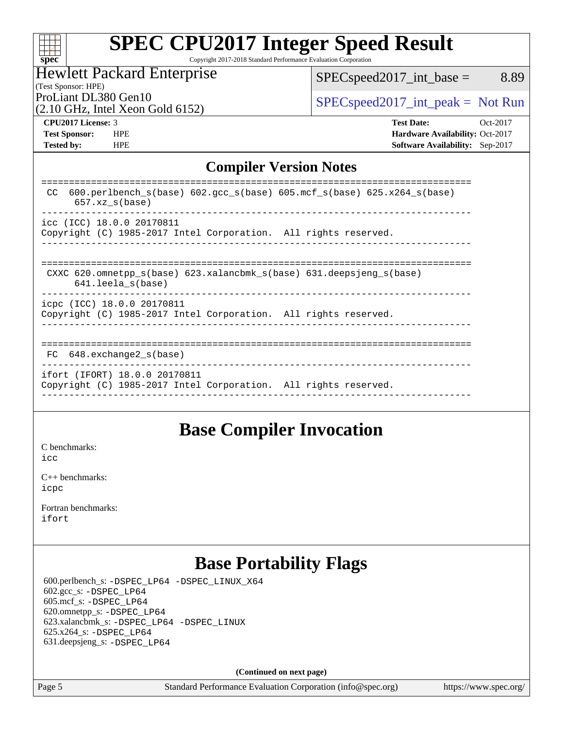| spe |  |  |  |  |
|-----|--|--|--|--|

# **[SPEC CPU2017 Integer Speed Result](http://www.spec.org/auto/cpu2017/Docs/result-fields.html#SPECCPU2017IntegerSpeedResult)**

Copyright 2017-2018 Standard Performance Evaluation Corporation

#### Hewlett Packard Enterprise

[SPECspeed2017\\_int\\_base =](http://www.spec.org/auto/cpu2017/Docs/result-fields.html#SPECspeed2017intbase) 8.89

(Test Sponsor: HPE) (2.10 GHz, Intel Xeon Gold 6152)

ProLiant DL380 Gen10  $SPEC speed2017\_int\_peak = Not Run$ 

**[Tested by:](http://www.spec.org/auto/cpu2017/Docs/result-fields.html#Testedby)** HPE **[Software Availability:](http://www.spec.org/auto/cpu2017/Docs/result-fields.html#SoftwareAvailability)** Sep-2017

**[CPU2017 License:](http://www.spec.org/auto/cpu2017/Docs/result-fields.html#CPU2017License)** 3 **[Test Date:](http://www.spec.org/auto/cpu2017/Docs/result-fields.html#TestDate)** Oct-2017 **[Test Sponsor:](http://www.spec.org/auto/cpu2017/Docs/result-fields.html#TestSponsor)** HPE **[Hardware Availability:](http://www.spec.org/auto/cpu2017/Docs/result-fields.html#HardwareAvailability)** Oct-2017

### **[Compiler Version Notes](http://www.spec.org/auto/cpu2017/Docs/result-fields.html#CompilerVersionNotes)**

| 600.perlbench $s(base)$ 602.gcc $s(base)$ 605.mcf $s(base)$ 625.x264 $s(base)$<br>CC.<br>$657.xz$ s(base) |
|-----------------------------------------------------------------------------------------------------------|
| icc (ICC) 18.0.0 20170811<br>Copyright (C) 1985-2017 Intel Corporation. All rights reserved.              |
| CXXC 620.omnetpp $s(base)$ 623.xalancbmk $s(base)$ 631.deepsjeng $s(base)$<br>$641.$ leela $s(base)$      |
| icpc (ICC) 18.0.0 20170811<br>Copyright (C) 1985-2017 Intel Corporation. All rights reserved.             |
| $FC$ 648. exchange 2 $s$ (base)                                                                           |
| ifort (IFORT) 18.0.0 20170811<br>Copyright (C) 1985-2017 Intel Corporation. All rights reserved.          |

### **[Base Compiler Invocation](http://www.spec.org/auto/cpu2017/Docs/result-fields.html#BaseCompilerInvocation)**

[C benchmarks](http://www.spec.org/auto/cpu2017/Docs/result-fields.html#Cbenchmarks): [icc](http://www.spec.org/cpu2017/results/res2017q4/cpu2017-20171031-00478.flags.html#user_CCbase_intel_icc_18.0_66fc1ee009f7361af1fbd72ca7dcefbb700085f36577c54f309893dd4ec40d12360134090235512931783d35fd58c0460139e722d5067c5574d8eaf2b3e37e92)

[C++ benchmarks:](http://www.spec.org/auto/cpu2017/Docs/result-fields.html#CXXbenchmarks) [icpc](http://www.spec.org/cpu2017/results/res2017q4/cpu2017-20171031-00478.flags.html#user_CXXbase_intel_icpc_18.0_c510b6838c7f56d33e37e94d029a35b4a7bccf4766a728ee175e80a419847e808290a9b78be685c44ab727ea267ec2f070ec5dc83b407c0218cded6866a35d07)

[Fortran benchmarks](http://www.spec.org/auto/cpu2017/Docs/result-fields.html#Fortranbenchmarks): [ifort](http://www.spec.org/cpu2017/results/res2017q4/cpu2017-20171031-00478.flags.html#user_FCbase_intel_ifort_18.0_8111460550e3ca792625aed983ce982f94888b8b503583aa7ba2b8303487b4d8a21a13e7191a45c5fd58ff318f48f9492884d4413fa793fd88dd292cad7027ca)

## **[Base Portability Flags](http://www.spec.org/auto/cpu2017/Docs/result-fields.html#BasePortabilityFlags)**

 600.perlbench\_s: [-DSPEC\\_LP64](http://www.spec.org/cpu2017/results/res2017q4/cpu2017-20171031-00478.flags.html#b600.perlbench_s_basePORTABILITY_DSPEC_LP64) [-DSPEC\\_LINUX\\_X64](http://www.spec.org/cpu2017/results/res2017q4/cpu2017-20171031-00478.flags.html#b600.perlbench_s_baseCPORTABILITY_DSPEC_LINUX_X64) 602.gcc\_s: [-DSPEC\\_LP64](http://www.spec.org/cpu2017/results/res2017q4/cpu2017-20171031-00478.flags.html#suite_basePORTABILITY602_gcc_s_DSPEC_LP64) 605.mcf\_s: [-DSPEC\\_LP64](http://www.spec.org/cpu2017/results/res2017q4/cpu2017-20171031-00478.flags.html#suite_basePORTABILITY605_mcf_s_DSPEC_LP64) 620.omnetpp\_s: [-DSPEC\\_LP64](http://www.spec.org/cpu2017/results/res2017q4/cpu2017-20171031-00478.flags.html#suite_basePORTABILITY620_omnetpp_s_DSPEC_LP64) 623.xalancbmk\_s: [-DSPEC\\_LP64](http://www.spec.org/cpu2017/results/res2017q4/cpu2017-20171031-00478.flags.html#suite_basePORTABILITY623_xalancbmk_s_DSPEC_LP64) [-DSPEC\\_LINUX](http://www.spec.org/cpu2017/results/res2017q4/cpu2017-20171031-00478.flags.html#b623.xalancbmk_s_baseCXXPORTABILITY_DSPEC_LINUX) 625.x264\_s: [-DSPEC\\_LP64](http://www.spec.org/cpu2017/results/res2017q4/cpu2017-20171031-00478.flags.html#suite_basePORTABILITY625_x264_s_DSPEC_LP64) 631.deepsjeng\_s: [-DSPEC\\_LP64](http://www.spec.org/cpu2017/results/res2017q4/cpu2017-20171031-00478.flags.html#suite_basePORTABILITY631_deepsjeng_s_DSPEC_LP64)

**(Continued on next page)**

Page 5 Standard Performance Evaluation Corporation [\(info@spec.org\)](mailto:info@spec.org) <https://www.spec.org/>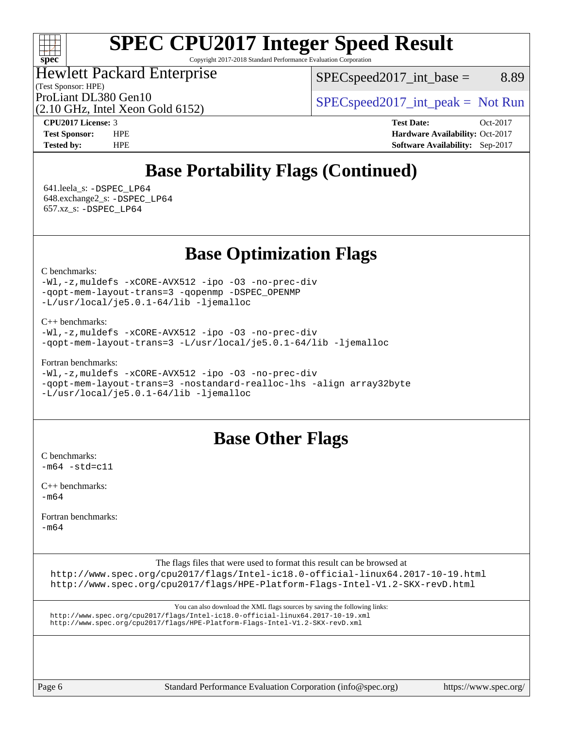### $\pm\pm\prime$ **[spec](http://www.spec.org/)**

# **[SPEC CPU2017 Integer Speed Result](http://www.spec.org/auto/cpu2017/Docs/result-fields.html#SPECCPU2017IntegerSpeedResult)**

Copyright 2017-2018 Standard Performance Evaluation Corporation

### Hewlett Packard Enterprise

(Test Sponsor: HPE)

 $SPEC speed2017\_int\_base =$  8.89

(2.10 GHz, Intel Xeon Gold 6152)

ProLiant DL380 Gen10  $SPEC speed2017\_int\_peak = Not Run$ 

**[CPU2017 License:](http://www.spec.org/auto/cpu2017/Docs/result-fields.html#CPU2017License)** 3 **[Test Date:](http://www.spec.org/auto/cpu2017/Docs/result-fields.html#TestDate)** Oct-2017 **[Test Sponsor:](http://www.spec.org/auto/cpu2017/Docs/result-fields.html#TestSponsor)** HPE **[Hardware Availability:](http://www.spec.org/auto/cpu2017/Docs/result-fields.html#HardwareAvailability)** Oct-2017 **[Tested by:](http://www.spec.org/auto/cpu2017/Docs/result-fields.html#Testedby)** HPE **[Software Availability:](http://www.spec.org/auto/cpu2017/Docs/result-fields.html#SoftwareAvailability)** Sep-2017

## **[Base Portability Flags \(Continued\)](http://www.spec.org/auto/cpu2017/Docs/result-fields.html#BasePortabilityFlags)**

 641.leela\_s: [-DSPEC\\_LP64](http://www.spec.org/cpu2017/results/res2017q4/cpu2017-20171031-00478.flags.html#suite_basePORTABILITY641_leela_s_DSPEC_LP64) 648.exchange2\_s: [-DSPEC\\_LP64](http://www.spec.org/cpu2017/results/res2017q4/cpu2017-20171031-00478.flags.html#suite_basePORTABILITY648_exchange2_s_DSPEC_LP64) 657.xz\_s: [-DSPEC\\_LP64](http://www.spec.org/cpu2017/results/res2017q4/cpu2017-20171031-00478.flags.html#suite_basePORTABILITY657_xz_s_DSPEC_LP64)

**[Base Optimization Flags](http://www.spec.org/auto/cpu2017/Docs/result-fields.html#BaseOptimizationFlags)**

[C benchmarks](http://www.spec.org/auto/cpu2017/Docs/result-fields.html#Cbenchmarks):

[-Wl,-z,muldefs](http://www.spec.org/cpu2017/results/res2017q4/cpu2017-20171031-00478.flags.html#user_CCbase_link_force_multiple1_b4cbdb97b34bdee9ceefcfe54f4c8ea74255f0b02a4b23e853cdb0e18eb4525ac79b5a88067c842dd0ee6996c24547a27a4b99331201badda8798ef8a743f577) [-xCORE-AVX512](http://www.spec.org/cpu2017/results/res2017q4/cpu2017-20171031-00478.flags.html#user_CCbase_f-xCORE-AVX512) [-ipo](http://www.spec.org/cpu2017/results/res2017q4/cpu2017-20171031-00478.flags.html#user_CCbase_f-ipo) [-O3](http://www.spec.org/cpu2017/results/res2017q4/cpu2017-20171031-00478.flags.html#user_CCbase_f-O3) [-no-prec-div](http://www.spec.org/cpu2017/results/res2017q4/cpu2017-20171031-00478.flags.html#user_CCbase_f-no-prec-div) [-qopt-mem-layout-trans=3](http://www.spec.org/cpu2017/results/res2017q4/cpu2017-20171031-00478.flags.html#user_CCbase_f-qopt-mem-layout-trans_de80db37974c74b1f0e20d883f0b675c88c3b01e9d123adea9b28688d64333345fb62bc4a798493513fdb68f60282f9a726aa07f478b2f7113531aecce732043) [-qopenmp](http://www.spec.org/cpu2017/results/res2017q4/cpu2017-20171031-00478.flags.html#user_CCbase_qopenmp_16be0c44f24f464004c6784a7acb94aca937f053568ce72f94b139a11c7c168634a55f6653758ddd83bcf7b8463e8028bb0b48b77bcddc6b78d5d95bb1df2967) [-DSPEC\\_OPENMP](http://www.spec.org/cpu2017/results/res2017q4/cpu2017-20171031-00478.flags.html#suite_CCbase_DSPEC_OPENMP) [-L/usr/local/je5.0.1-64/lib](http://www.spec.org/cpu2017/results/res2017q4/cpu2017-20171031-00478.flags.html#user_CCbase_jemalloc_link_path64_4b10a636b7bce113509b17f3bd0d6226c5fb2346b9178c2d0232c14f04ab830f976640479e5c33dc2bcbbdad86ecfb6634cbbd4418746f06f368b512fced5394) [-ljemalloc](http://www.spec.org/cpu2017/results/res2017q4/cpu2017-20171031-00478.flags.html#user_CCbase_jemalloc_link_lib_d1249b907c500fa1c0672f44f562e3d0f79738ae9e3c4a9c376d49f265a04b9c99b167ecedbf6711b3085be911c67ff61f150a17b3472be731631ba4d0471706)

[C++ benchmarks:](http://www.spec.org/auto/cpu2017/Docs/result-fields.html#CXXbenchmarks)

```
-Wl,-z,muldefs -xCORE-AVX512 -ipo -O3 -no-prec-div
-qopt-mem-layout-trans=3 -L/usr/local/je5.0.1-64/lib -ljemalloc
```
[Fortran benchmarks](http://www.spec.org/auto/cpu2017/Docs/result-fields.html#Fortranbenchmarks):

```
-Wl,-z,muldefs -xCORE-AVX512 -ipo -O3 -no-prec-div
-qopt-mem-layout-trans=3 -nostandard-realloc-lhs -align array32byte
-L/usr/local/je5.0.1-64/lib -ljemalloc
```
### **[Base Other Flags](http://www.spec.org/auto/cpu2017/Docs/result-fields.html#BaseOtherFlags)**

[C benchmarks](http://www.spec.org/auto/cpu2017/Docs/result-fields.html#Cbenchmarks):  $-m64 - std = c11$  $-m64 - std = c11$ 

[C++ benchmarks:](http://www.spec.org/auto/cpu2017/Docs/result-fields.html#CXXbenchmarks)  $-m64$ 

[Fortran benchmarks](http://www.spec.org/auto/cpu2017/Docs/result-fields.html#Fortranbenchmarks):

[-m64](http://www.spec.org/cpu2017/results/res2017q4/cpu2017-20171031-00478.flags.html#user_FCbase_intel_intel64_18.0_af43caccfc8ded86e7699f2159af6efc7655f51387b94da716254467f3c01020a5059329e2569e4053f409e7c9202a7efc638f7a6d1ffb3f52dea4a3e31d82ab)

The flags files that were used to format this result can be browsed at

<http://www.spec.org/cpu2017/flags/Intel-ic18.0-official-linux64.2017-10-19.html> <http://www.spec.org/cpu2017/flags/HPE-Platform-Flags-Intel-V1.2-SKX-revD.html>

You can also download the XML flags sources by saving the following links: <http://www.spec.org/cpu2017/flags/Intel-ic18.0-official-linux64.2017-10-19.xml> <http://www.spec.org/cpu2017/flags/HPE-Platform-Flags-Intel-V1.2-SKX-revD.xml>